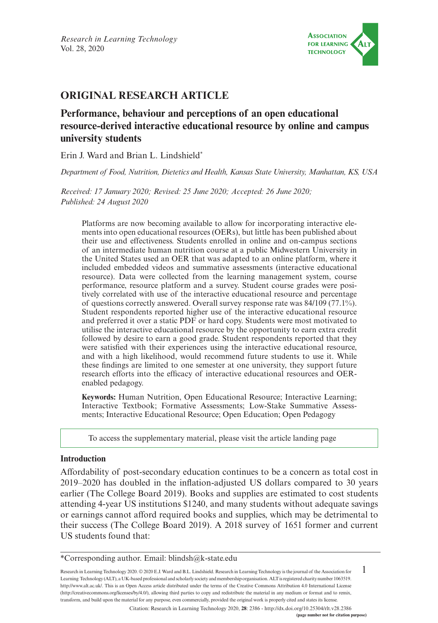

# **ORIGINAL RESEARCH ARTICLE**

# **Performance, behaviour and perceptions of an open educational resource-derived interactive educational resource by online and campus university students**

Erin J. Ward and Brian L. Lindshield\*

*Department of Food, Nutrition, Dietetics and Health, Kansas State University, Manhattan, KS, USA*

*Received: 17 January 2020; Revised: 25 June 2020; Accepted: 26 June 2020; Published: 24 August 2020*

Platforms are now becoming available to allow for incorporating interactive elements into open educational resources (OERs), but little has been published about their use and effectiveness. Students enrolled in online and on-campus sections of an intermediate human nutrition course at a public Midwestern University in the United States used an OER that was adapted to an online platform, where it included embedded videos and summative assessments (interactive educational resource). Data were collected from the learning management system, course performance, resource platform and a survey. Student course grades were positively correlated with use of the interactive educational resource and percentage of questions correctly answered. Overall survey response rate was 84/109 (77.1%). Student respondents reported higher use of the interactive educational resource and preferred it over a static PDF or hard copy. Students were most motivated to utilise the interactive educational resource by the opportunity to earn extra credit followed by desire to earn a good grade. Student respondents reported that they were satisfied with their experiences using the interactive educational resource, and with a high likelihood, would recommend future students to use it. While these findings are limited to one semester at one university, they support future research efforts into the efficacy of interactive educational resources and OERenabled pedagogy.

**Keywords:** Human Nutrition, Open Educational Resource; Interactive Learning; Interactive Textbook; Formative Assessments; Low-Stake Summative Assessments; Interactive Educational Resource; Open Education; Open Pedagogy

[To access the supplementary material, please visit the article landing page](http://ResearchinLearningTechnology.net/index.php/rlt/article/view/2386)

### **Introduction**

Affordability of post-secondary education continues to be a concern as total cost in 2019–2020 has doubled in the inflation-adjusted US dollars compared to 30 years earlier (The College Board 2019). Books and supplies are estimated to cost students attending 4-year US institutions \$1240, and many students without adequate savings or earnings cannot afford required books and supplies, which may be detrimental to their success (The College Board 2019). A 2018 survey of 1651 former and current US students found that:

1 Research in Learning Technology 2020. © 2020 E.J. Ward and B.L. Lindshield. Research in Learning Technology is the journal of the Association for Learning Technology (ALT), a UK-based professional and scholarly society and membership organisation. ALT is registered charity number 1063519. [http://www.alt.ac.uk/.](http://www.alt.ac.uk/) This is an Open Access article distributed under the terms of the Creative Commons Attribution 4.0 International License (<http://creativecommons.org/licenses/by/4.0/>), allowing third parties to copy and redistribute the material in any medium or format and to remix, transform, and build upon the material for any purpose, even commercially, provided the original work is properly cited and states its license.

Citation: Research in Learning Technology 2020, **28**: 2386 - <http://dx.doi.org/10.25304/rlt.v28.2386>

<sup>\*</sup>Corresponding author. Email: [blindsh@k-state.edu](mailto:blindsh@k-state.edu)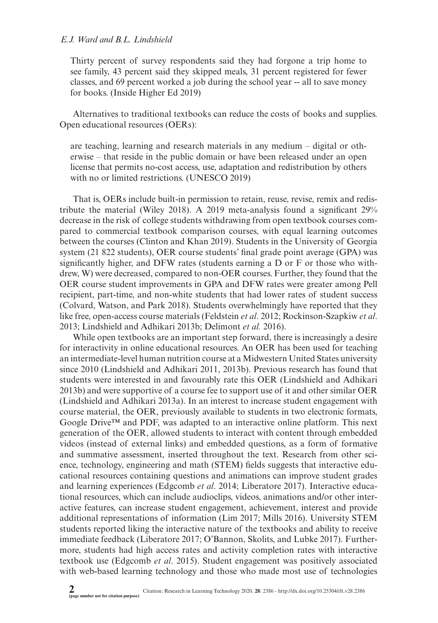Thirty percent of survey respondents said they had forgone a trip home to see family, 43 percent said they skipped meals, 31 percent registered for fewer classes, and 69 percent worked a job during the school year -- all to save money for books. (Inside Higher Ed 2019)

Alternatives to traditional textbooks can reduce the costs of books and supplies. Open educational resources (OERs):

are teaching, learning and research materials in any medium – digital or otherwise – that reside in the public domain or have been released under an open license that permits no-cost access, use, adaptation and redistribution by others with no or limited restrictions. (UNESCO 2019)

That is, OERs include built-in permission to retain, reuse, revise, remix and redistribute the material (Wiley 2018). A 2019 meta-analysis found a significant 29% decrease in the risk of college students withdrawing from open textbook courses compared to commercial textbook comparison courses, with equal learning outcomes between the courses (Clinton and Khan 2019). Students in the University of Georgia system (21 822 students), OER course students' final grade point average (GPA) was significantly higher, and DFW rates (students earning a D or F or those who withdrew, W) were decreased, compared to non-OER courses. Further, they found that the OER course student improvements in GPA and DFW rates were greater among Pell recipient, part-time, and non-white students that had lower rates of student success (Colvard, Watson, and Park 2018). Students overwhelmingly have reported that they like free, open-access course materials (Feldstein *et al*. 2012; Rockinson-Szapkiw *et al*. 2013; Lindshield and Adhikari 2013b; Delimont *et al.* 2016).

While open textbooks are an important step forward, there is increasingly a desire for interactivity in online educational resources. An OER has been used for teaching an intermediate-level human nutrition course at a Midwestern United States university since 2010 (Lindshield and Adhikari 2011, 2013b). Previous research has found that students were interested in and favourably rate this OER (Lindshield and Adhikari 2013b) and were supportive of a course fee to support use of it and other similar OER (Lindshield and Adhikari 2013a). In an interest to increase student engagement with course material, the OER, previously available to students in two electronic formats, Google Drive<sup>TM</sup> and PDF, was adapted to an interactive online platform. This next generation of the OER, allowed students to interact with content through embedded videos (instead of external links) and embedded questions, as a form of formative and summative assessment, inserted throughout the text. Research from other science, technology, engineering and math (STEM) fields suggests that interactive educational resources containing questions and animations can improve student grades and learning experiences (Edgcomb *et al*. 2014; Liberatore 2017). Interactive educational resources, which can include audioclips, videos, animations and/or other interactive features, can increase student engagement, achievement, interest and provide additional representations of information (Lim 2017; Mills 2016). University STEM students reported liking the interactive nature of the textbooks and ability to receive immediate feedback (Liberatore 2017; O'Bannon, Skolits, and Lubke 2017). Furthermore, students had high access rates and activity completion rates with interactive textbook use (Edgcomb *et al*. 2015). Student engagement was positively associated with web-based learning technology and those who made most use of technologies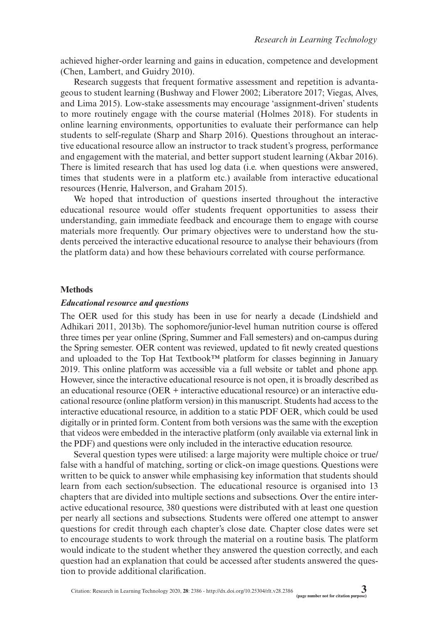achieved higher-order learning and gains in education, competence and development (Chen, Lambert, and Guidry 2010).

Research suggests that frequent formative assessment and repetition is advantageous to student learning (Bushway and Flower 2002; Liberatore 2017; Viegas, Alves, and Lima 2015). Low-stake assessments may encourage 'assignment-driven' students to more routinely engage with the course material (Holmes 2018). For students in online learning environments, opportunities to evaluate their performance can help students to self-regulate (Sharp and Sharp 2016). Questions throughout an interactive educational resource allow an instructor to track student's progress, performance and engagement with the material, and better support student learning (Akbar 2016). There is limited research that has used log data (i.e. when questions were answered, times that students were in a platform etc.) available from interactive educational resources (Henrie, Halverson, and Graham 2015).

We hoped that introduction of questions inserted throughout the interactive educational resource would offer students frequent opportunities to assess their understanding, gain immediate feedback and encourage them to engage with course materials more frequently. Our primary objectives were to understand how the students perceived the interactive educational resource to analyse their behaviours (from the platform data) and how these behaviours correlated with course performance.

### **Methods**

#### *Educational resource and questions*

The OER used for this study has been in use for nearly a decade (Lindshield and Adhikari 2011, 2013b). The sophomore/junior-level human nutrition course is offered three times per year online (Spring, Summer and Fall semesters) and on-campus during the Spring semester. OER content was reviewed, updated to fit newly created questions and uploaded to the Top Hat Textbook<sup>™</sup> platform for classes beginning in January 2019. This online platform was accessible via a full website or tablet and phone app. However, since the interactive educational resource is not open, it is broadly described as an educational resource (OER + interactive educational resource) or an interactive educational resource (online platform version) in this manuscript. Students had access to the interactive educational resource, in addition to a static PDF OER, which could be used digitally or in printed form. Content from both versions was the same with the exception that videos were embedded in the interactive platform (only available via external link in the PDF) and questions were only included in the interactive education resource.

Several question types were utilised: a large majority were multiple choice or true/ false with a handful of matching, sorting or click-on image questions. Questions were written to be quick to answer while emphasising key information that students should learn from each section/subsection. The educational resource is organised into 13 chapters that are divided into multiple sections and subsections. Over the entire interactive educational resource, 380 questions were distributed with at least one question per nearly all sections and subsections. Students were offered one attempt to answer questions for credit through each chapter's close date. Chapter close dates were set to encourage students to work through the material on a routine basis. The platform would indicate to the student whether they answered the question correctly, and each question had an explanation that could be accessed after students answered the question to provide additional clarification.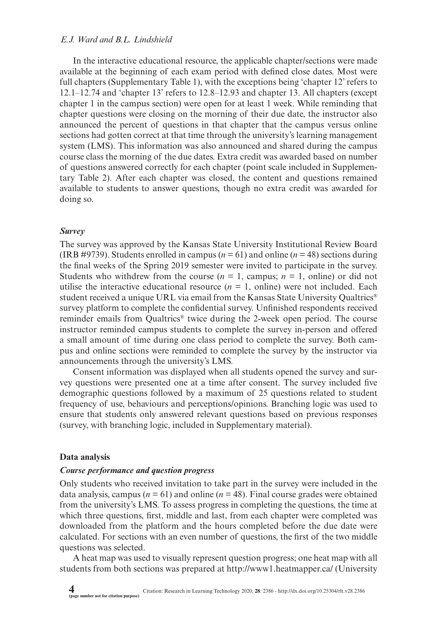In the interactive educational resource, the applicable chapter/sections were made available at the beginning of each exam period with defined close dates. Most were full chapters (Supplementary Table 1), with the exceptions being 'chapter 12' refers to 12.1–12.74 and 'chapter 13' refers to 12.8–12.93 and chapter 13. All chapters (except chapter 1 in the campus section) were open for at least 1 week. While reminding that chapter questions were closing on the morning of their due date, the instructor also announced the percent of questions in that chapter that the campus versus online sections had gotten correct at that time through the university's learning management system (LMS). This information was also announced and shared during the campus course class the morning of the due dates. Extra credit was awarded based on number of questions answered correctly for each chapter (point scale included in Supplementary Table 2). After each chapter was closed, the content and questions remained available to students to answer questions, though no extra credit was awarded for doing so.

#### *Survey*

The survey was approved by the Kansas State University Institutional Review Board (IRB #9739). Students enrolled in campus ( $n = 61$ ) and online ( $n = 48$ ) sections during the final weeks of the Spring 2019 semester were invited to participate in the survey. Students who withdrew from the course  $(n = 1, \text{ campus}; n = 1, \text{ online})$  or did not utilise the interactive educational resource  $(n = 1, 0)$  were not included. Each student received a unique URL via email from the Kansas State University Qualtrics® survey platform to complete the confidential survey. Unfinished respondents received reminder emails from Qualtrics® twice during the 2-week open period. The course instructor reminded campus students to complete the survey in-person and offered a small amount of time during one class period to complete the survey. Both campus and online sections were reminded to complete the survey by the instructor via announcements through the university's LMS.

Consent information was displayed when all students opened the survey and survey questions were presented one at a time after consent. The survey included five demographic questions followed by a maximum of 25 questions related to student frequency of use, behaviours and perceptions/opinions. Branching logic was used to ensure that students only answered relevant questions based on previous responses (survey, with branching logic, included in Supplementary material).

#### **Data analysis**

#### *Course performance and question progress*

Only students who received invitation to take part in the survey were included in the data analysis, campus ( $n = 61$ ) and online ( $n = 48$ ). Final course grades were obtained from the university's LMS. To assess progress in completing the questions, the time at which three questions, first, middle and last, from each chapter were completed was downloaded from the platform and the hours completed before the due date were calculated. For sections with an even number of questions, the first of the two middle questions was selected.

A heat map was used to visually represent question progress; one heat map with all students from both sections was prepared at<http://www1.heatmapper.ca/> (University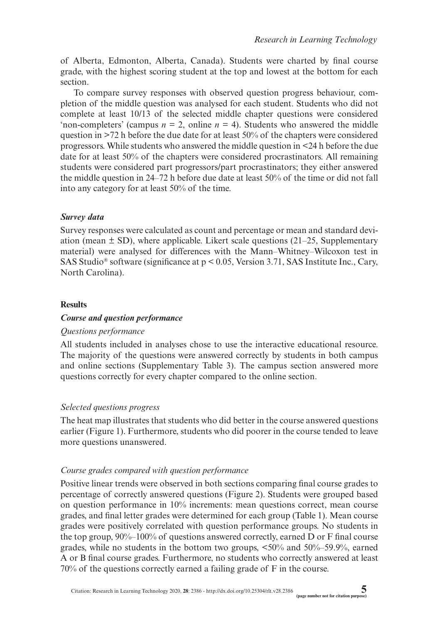of Alberta, Edmonton, Alberta, Canada). Students were charted by final course grade, with the highest scoring student at the top and lowest at the bottom for each section.

To compare survey responses with observed question progress behaviour, completion of the middle question was analysed for each student. Students who did not complete at least 10/13 of the selected middle chapter questions were considered 'non-completers' (campus  $n = 2$ , online  $n = 4$ ). Students who answered the middle question in  $>72$  h before the due date for at least 50% of the chapters were considered progressors. While students who answered the middle question in <24 h before the due date for at least 50% of the chapters were considered procrastinators. All remaining students were considered part progressors/part procrastinators; they either answered the middle question in 24–72 h before due date at least 50% of the time or did not fall into any category for at least 50% of the time.

## *Survey data*

Survey responses were calculated as count and percentage or mean and standard deviation (mean  $\pm$  SD), where applicable. Likert scale questions (21–25, Supplementary material) were analysed for differences with the Mann–Whitney–Wilcoxon test in SAS Studio® software (significance at p < 0.05, Version 3.71, SAS Institute Inc., Cary, North Carolina).

## **Results**

### *Course and question performance*

### *Questions performance*

All students included in analyses chose to use the interactive educational resource. The majority of the questions were answered correctly by students in both campus and online sections (Supplementary Table 3). The campus section answered more questions correctly for every chapter compared to the online section.

# *Selected questions progress*

The heat map illustrates that students who did better in the course answered questions earlier (Figure 1). Furthermore, students who did poorer in the course tended to leave more questions unanswered.

### *Course grades compared with question performance*

Positive linear trends were observed in both sections comparing final course grades to percentage of correctly answered questions (Figure 2). Students were grouped based on question performance in 10% increments: mean questions correct, mean course grades, and final letter grades were determined for each group (Table 1). Mean course grades were positively correlated with question performance groups. No students in the top group,  $90\%$ –100% of questions answered correctly, earned D or F final course grades, while no students in the bottom two groups, <50% and 50%–59.9%, earned A or B final course grades. Furthermore, no students who correctly answered at least 70% of the questions correctly earned a failing grade of F in the course.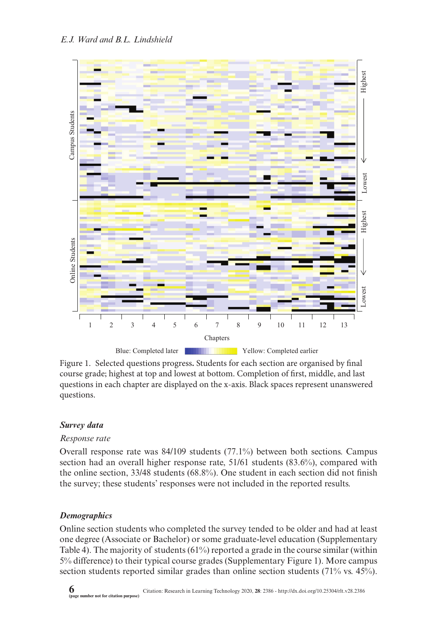

Figure 1. Selected questions progress**.** Students for each section are organised by final course grade; highest at top and lowest at bottom. Completion of first, middle, and last questions in each chapter are displayed on the x-axis. Black spaces represent unanswered questions.

### *Survey data*

### *Response rate*

Overall response rate was 84/109 students (77.1%) between both sections. Campus section had an overall higher response rate, 51/61 students (83.6%), compared with the online section, 33/48 students (68.8%). One student in each section did not finish the survey; these students' responses were not included in the reported results.

### *Demographics*

Online section students who completed the survey tended to be older and had at least one degree (Associate or Bachelor) or some graduate-level education (Supplementary Table 4). The majority of students (61%) reported a grade in the course similar (within 5% difference) to their typical course grades (Supplementary Figure 1). More campus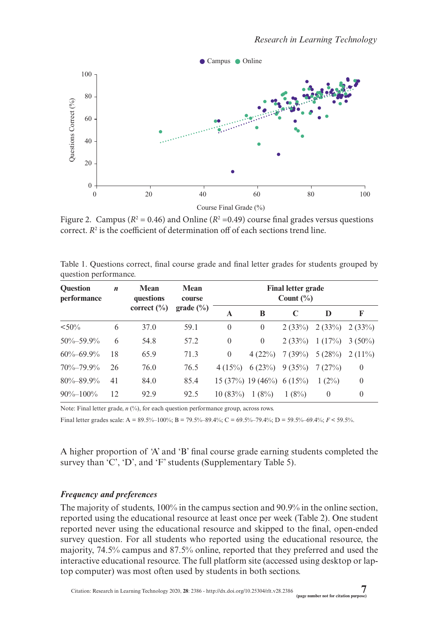

Figure 2. Campus ( $R^2 = 0.46$ ) and Online ( $R^2 = 0.49$ ) course final grades versus questions correct.  $R^2$  is the coefficient of determination off of each sections trend line.

| <b>Ouestion</b><br>performance | $\boldsymbol{n}$ | Mean<br>questions<br>correct $(\% )$ | Mean<br>course<br>grade $(\%$ | Final letter grade<br>Count $(\% )$ |                            |        |          |           |
|--------------------------------|------------------|--------------------------------------|-------------------------------|-------------------------------------|----------------------------|--------|----------|-----------|
|                                |                  |                                      |                               | A                                   | B                          |        | D        | F         |
| $< 50\%$                       | 6                | 37.0                                 | 59.1                          | $\theta$                            | $\Omega$                   | 2(33%) | 2(33%)   | 2(33%)    |
| $50\% - 59.9\%$                | 6                | 54.8                                 | 57.2                          | $\theta$                            | $\Omega$                   | 2(33%) | 1(17%)   | $3(50\%)$ |
| $60\% - 69.9\%$                | 18               | 65.9                                 | 71.3                          | $\theta$                            | 4(22%)                     | 7(39%) | 5(28%)   | $2(11\%)$ |
| $70\% - 79.9\%$                | 26               | 76.0                                 | 76.5                          | 4(15%)                              | 6(23%)                     | 9(35%) | 7(27%)   | $\theta$  |
| $80\% - 89.9\%$                | 41               | 84.0                                 | 85.4                          |                                     | $15(37%)$ 19 (46%) 6 (15%) |        | $1(2\%)$ | $\theta$  |
| $90\% - 100\%$                 | 12               | 92.9                                 | 92.5                          | 10(83%)                             | 1(8%)                      | 1(8%)  | $\theta$ | $\theta$  |

Table 1. Questions correct, final course grade and final letter grades for students grouped by question performance.

Note: Final letter grade, *n* (%), for each question performance group, across rows.

Final letter grades scale: A = 89.5%–100%; B = 79.5%–89.4%; C = 69.5%–79.4%; D = 59.5%–69.4%; *F* < 59.5%.

A higher proportion of 'A' and 'B' final course grade earning students completed the survey than 'C', 'D', and 'F' students (Supplementary Table 5).

### *Frequency and preferences*

The majority of students, 100% in the campus section and 90.9% in the online section, reported using the educational resource at least once per week (Table 2). One student reported never using the educational resource and skipped to the final, open-ended survey question. For all students who reported using the educational resource, the majority, 74.5% campus and 87.5% online, reported that they preferred and used the interactive educational resource. The full platform site (accessed using desktop or laptop computer) was most often used by students in both sections.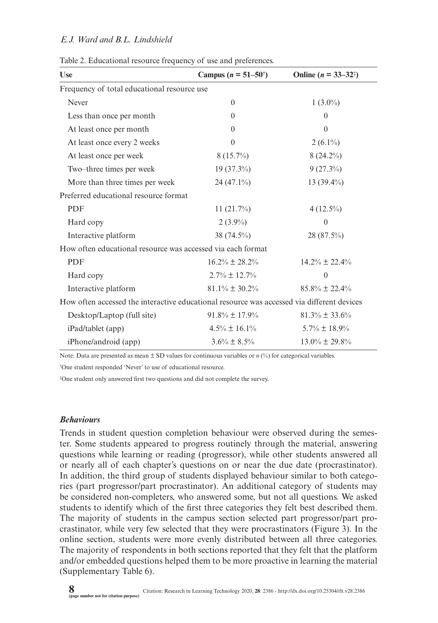| <b>Use</b>                                                                                 | Campus ( $n = 51-50^{\circ}$ ) | Online ( $n = 33-32^{\frac{1}{2}}$ ) |  |  |  |  |  |
|--------------------------------------------------------------------------------------------|--------------------------------|--------------------------------------|--|--|--|--|--|
| Frequency of total educational resource use                                                |                                |                                      |  |  |  |  |  |
| Never                                                                                      | $\theta$                       | $1(3.0\%)$                           |  |  |  |  |  |
| Less than once per month                                                                   | $\Omega$                       | $\theta$                             |  |  |  |  |  |
| At least once per month                                                                    | $\theta$                       | $\Omega$                             |  |  |  |  |  |
| At least once every 2 weeks                                                                | $\theta$                       | $2(6.1\%)$                           |  |  |  |  |  |
| At least once per week                                                                     | $8(15.7\%)$                    | $8(24.2\%)$                          |  |  |  |  |  |
| Two-three times per week                                                                   | $19(37.3\%)$                   | $9(27.3\%)$                          |  |  |  |  |  |
| More than three times per week                                                             | $24(47.1\%)$                   | 13 $(39.4\%)$                        |  |  |  |  |  |
| Preferred educational resource format                                                      |                                |                                      |  |  |  |  |  |
| <b>PDF</b>                                                                                 | $11(21.7\%)$                   | $4(12.5\%)$                          |  |  |  |  |  |
| Hard copy                                                                                  | $2(3.9\%)$                     | $\theta$                             |  |  |  |  |  |
| Interactive platform                                                                       | 38 (74.5%)                     | 28 (87.5%)                           |  |  |  |  |  |
| How often educational resource was accessed via each format                                |                                |                                      |  |  |  |  |  |
| <b>PDF</b>                                                                                 | $16.2\% \pm 28.2\%$            | $14.2\% \pm 22.4\%$                  |  |  |  |  |  |
| Hard copy                                                                                  | $2.7\% \pm 12.7\%$             | $\Omega$                             |  |  |  |  |  |
| Interactive platform                                                                       | $81.1\% \pm 30.2\%$            | $85.8\% \pm 22.4\%$                  |  |  |  |  |  |
| How often accessed the interactive educational resource was accessed via different devices |                                |                                      |  |  |  |  |  |
| Desktop/Laptop (full site)                                                                 | $91.8\% \pm 17.9\%$            | $81.3\% \pm 33.6\%$                  |  |  |  |  |  |
| iPad/tablet (app)                                                                          | $4.5\% \pm 16.1\%$             | $5.7\% \pm 18.9\%$                   |  |  |  |  |  |
| iPhone/android (app)                                                                       | $3.6\% \pm 8.5\%$              | $13.0\% \pm 29.8\%$                  |  |  |  |  |  |

Table 2. Educational resource frequency of use and preferences.

Note: Data are presented as mean  $\pm$  SD values for continuous variables or *n* (%) for categorical variables.

† One student responded 'Never' to use of educational resource.

‡ One student only answered first two questions and did not complete the survey.

### *Behaviours*

Trends in student question completion behaviour were observed during the semester. Some students appeared to progress routinely through the material, answering questions while learning or reading (progressor), while other students answered all or nearly all of each chapter's questions on or near the due date (procrastinator). In addition, the third group of students displayed behaviour similar to both categories (part progressor/part procrastinator). An additional category of students may be considered non-completers, who answered some, but not all questions. We asked students to identify which of the first three categories they felt best described them. The majority of students in the campus section selected part progressor/part procrastinator, while very few selected that they were procrastinators (Figure 3). In the online section, students were more evenly distributed between all three categories. The majority of respondents in both sections reported that they felt that the platform and/or embedded questions helped them to be more proactive in learning the material (Supplementary Table 6).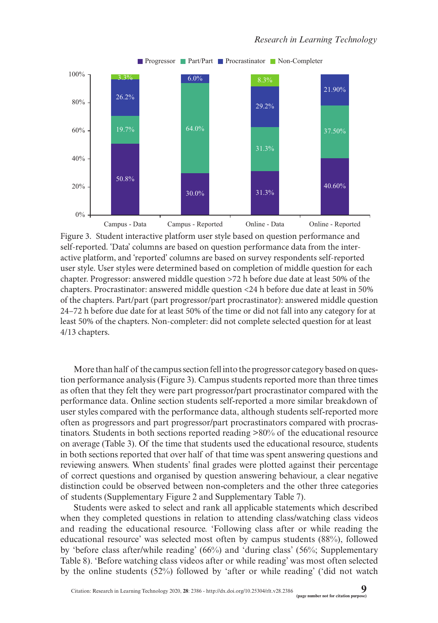

Figure 3. Student interactive platform user style based on question performance and self-reported. 'Data' columns are based on question performance data from the interactive platform, and 'reported' columns are based on survey respondents self-reported user style. User styles were determined based on completion of middle question for each chapter. Progressor: answered middle question >72 h before due date at least 50% of the chapters. Procrastinator: answered middle question <24 h before due date at least in 50% of the chapters. Part/part (part progressor/part procrastinator): answered middle question 24–72 h before due date for at least 50% of the time or did not fall into any category for at least 50% of the chapters. Non-completer: did not complete selected question for at least 4/13 chapters.

More than half of the campus section fell into the progressor category based on question performance analysis (Figure 3). Campus students reported more than three times as often that they felt they were part progressor/part procrastinator compared with the performance data. Online section students self-reported a more similar breakdown of user styles compared with the performance data, although students self-reported more often as progressors and part progressor/part procrastinators compared with procrastinators. Students in both sections reported reading >80% of the educational resource on average (Table 3). Of the time that students used the educational resource, students in both sections reported that over half of that time was spent answering questions and reviewing answers. When students' final grades were plotted against their percentage of correct questions and organised by question answering behaviour, a clear negative distinction could be observed between non-completers and the other three categories of students (Supplementary Figure 2 and Supplementary Table 7).

Students were asked to select and rank all applicable statements which described when they completed questions in relation to attending class/watching class videos and reading the educational resource. 'Following class after or while reading the educational resource' was selected most often by campus students (88%), followed by 'before class after/while reading' (66%) and 'during class' (56%; Supplementary Table 8). 'Before watching class videos after or while reading' was most often selected by the online students (52%) followed by 'after or while reading' ('did not watch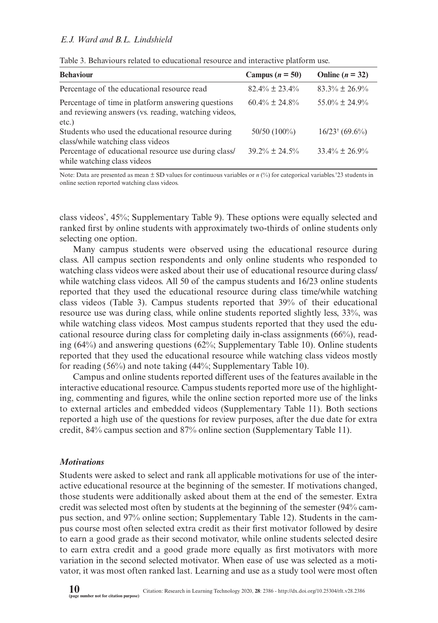| <b>Behaviour</b>                                                                                                    | Campus ( $n = 50$ ) | Online $(n = 32)$            |
|---------------------------------------------------------------------------------------------------------------------|---------------------|------------------------------|
| Percentage of the educational resource read                                                                         | $82.4\% \pm 23.4\%$ | $83.3\% \pm 26.9\%$          |
| Percentage of time in platform answering questions<br>and reviewing answers (vs. reading, watching videos,<br>etc.) | $60.4\% \pm 24.8\%$ | $55.0\% \pm 24.9\%$          |
| Students who used the educational resource during<br>class/while watching class videos                              | $50/50(100\%)$      | $16/23$ <sup>†</sup> (69.6%) |
| Percentage of educational resource use during class/<br>while watching class videos                                 | $39.2\% + 24.5\%$   | $33.4\% \pm 26.9\%$          |

Table 3. Behaviours related to educational resource and interactive platform use.

Note: Data are presented as mean  $\pm$  SD values for continuous variables or  $n$  (%) for categorical variables.<sup>†</sup>23 students in online section reported watching class videos.

class videos', 45%; Supplementary Table 9). These options were equally selected and ranked first by online students with approximately two-thirds of online students only selecting one option.

Many campus students were observed using the educational resource during class. All campus section respondents and only online students who responded to watching class videos were asked about their use of educational resource during class/ while watching class videos. All 50 of the campus students and 16/23 online students reported that they used the educational resource during class time/while watching class videos (Table 3). Campus students reported that 39% of their educational resource use was during class, while online students reported slightly less, 33%, was while watching class videos. Most campus students reported that they used the educational resource during class for completing daily in-class assignments (66%), reading (64%) and answering questions (62%; Supplementary Table 10). Online students reported that they used the educational resource while watching class videos mostly for reading (56%) and note taking (44%; Supplementary Table 10).

Campus and online students reported different uses of the features available in the interactive educational resource. Campus students reported more use of the highlighting, commenting and figures, while the online section reported more use of the links to external articles and embedded videos (Supplementary Table 11). Both sections reported a high use of the questions for review purposes, after the due date for extra credit, 84% campus section and 87% online section (Supplementary Table 11).

#### *Motivations*

Students were asked to select and rank all applicable motivations for use of the interactive educational resource at the beginning of the semester. If motivations changed, those students were additionally asked about them at the end of the semester. Extra credit was selected most often by students at the beginning of the semester (94% campus section, and 97% online section; Supplementary Table 12). Students in the campus course most often selected extra credit as their first motivator followed by desire to earn a good grade as their second motivator, while online students selected desire to earn extra credit and a good grade more equally as first motivators with more variation in the second selected motivator. When ease of use was selected as a motivator, it was most often ranked last. Learning and use as a study tool were most often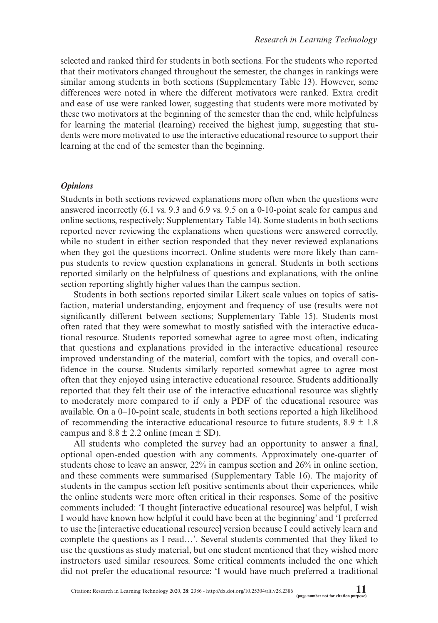selected and ranked third for students in both sections. For the students who reported that their motivators changed throughout the semester, the changes in rankings were similar among students in both sections (Supplementary Table 13). However, some differences were noted in where the different motivators were ranked. Extra credit and ease of use were ranked lower, suggesting that students were more motivated by these two motivators at the beginning of the semester than the end, while helpfulness for learning the material (learning) received the highest jump, suggesting that students were more motivated to use the interactive educational resource to support their learning at the end of the semester than the beginning.

### *Opinions*

Students in both sections reviewed explanations more often when the questions were answered incorrectly (6.1 vs. 9.3 and 6.9 vs. 9.5 on a 0-10-point scale for campus and online sections, respectively; Supplementary Table 14). Some students in both sections reported never reviewing the explanations when questions were answered correctly, while no student in either section responded that they never reviewed explanations when they got the questions incorrect. Online students were more likely than campus students to review question explanations in general. Students in both sections reported similarly on the helpfulness of questions and explanations, with the online section reporting slightly higher values than the campus section.

Students in both sections reported similar Likert scale values on topics of satisfaction, material understanding, enjoyment and frequency of use (results were not significantly different between sections; Supplementary Table 15). Students most often rated that they were somewhat to mostly satisfied with the interactive educational resource. Students reported somewhat agree to agree most often, indicating that questions and explanations provided in the interactive educational resource improved understanding of the material, comfort with the topics, and overall confidence in the course. Students similarly reported somewhat agree to agree most often that they enjoyed using interactive educational resource. Students additionally reported that they felt their use of the interactive educational resource was slightly to moderately more compared to if only a PDF of the educational resource was available. On a 0–10-point scale, students in both sections reported a high likelihood of recommending the interactive educational resource to future students,  $8.9 \pm 1.8$ campus and  $8.8 \pm 2.2$  online (mean  $\pm$  SD).

All students who completed the survey had an opportunity to answer a final, optional open-ended question with any comments. Approximately one-quarter of students chose to leave an answer, 22% in campus section and 26% in online section, and these comments were summarised (Supplementary Table 16). The majority of students in the campus section left positive sentiments about their experiences, while the online students were more often critical in their responses. Some of the positive comments included: 'I thought [interactive educational resource] was helpful, I wish I would have known how helpful it could have been at the beginning' and 'I preferred to use the [interactive educational resource] version because I could actively learn and complete the questions as I read…'. Several students commented that they liked to use the questions as study material, but one student mentioned that they wished more instructors used similar resources. Some critical comments included the one which did not prefer the educational resource: 'I would have much preferred a traditional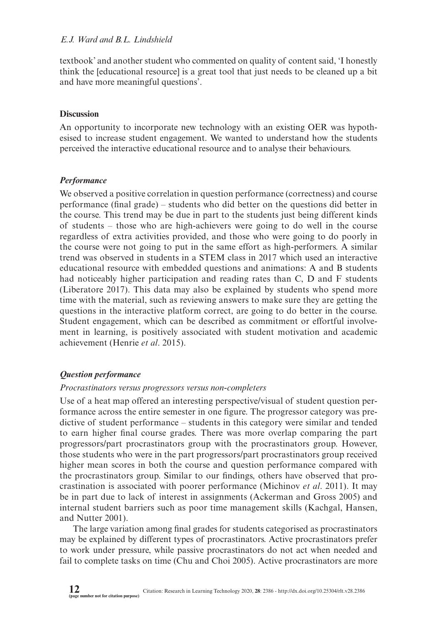textbook' and another student who commented on quality of content said, 'I honestly think the [educational resource] is a great tool that just needs to be cleaned up a bit and have more meaningful questions'.

### **Discussion**

An opportunity to incorporate new technology with an existing OER was hypothesised to increase student engagement. We wanted to understand how the students perceived the interactive educational resource and to analyse their behaviours.

### *Performance*

We observed a positive correlation in question performance (correctness) and course performance (final grade) – students who did better on the questions did better in the course. This trend may be due in part to the students just being different kinds of students – those who are high-achievers were going to do well in the course regardless of extra activities provided, and those who were going to do poorly in the course were not going to put in the same effort as high-performers. A similar trend was observed in students in a STEM class in 2017 which used an interactive educational resource with embedded questions and animations: A and B students had noticeably higher participation and reading rates than C, D and F students (Liberatore 2017). This data may also be explained by students who spend more time with the material, such as reviewing answers to make sure they are getting the questions in the interactive platform correct, are going to do better in the course. Student engagement, which can be described as commitment or effortful involvement in learning, is positively associated with student motivation and academic achievement (Henrie *et al*. 2015).

### *Question performance*

### *Procrastinators versus progressors versus non-completers*

Use of a heat map offered an interesting perspective/visual of student question performance across the entire semester in one figure. The progressor category was predictive of student performance – students in this category were similar and tended to earn higher final course grades. There was more overlap comparing the part progressors/part procrastinators group with the procrastinators group. However, those students who were in the part progressors/part procrastinators group received higher mean scores in both the course and question performance compared with the procrastinators group. Similar to our findings, others have observed that procrastination is associated with poorer performance (Michinov *et al*. 2011). It may be in part due to lack of interest in assignments (Ackerman and Gross 2005) and internal student barriers such as poor time management skills (Kachgal, Hansen, and Nutter 2001).

The large variation among final grades for students categorised as procrastinators may be explained by different types of procrastinators. Active procrastinators prefer to work under pressure, while passive procrastinators do not act when needed and fail to complete tasks on time (Chu and Choi 2005). Active procrastinators are more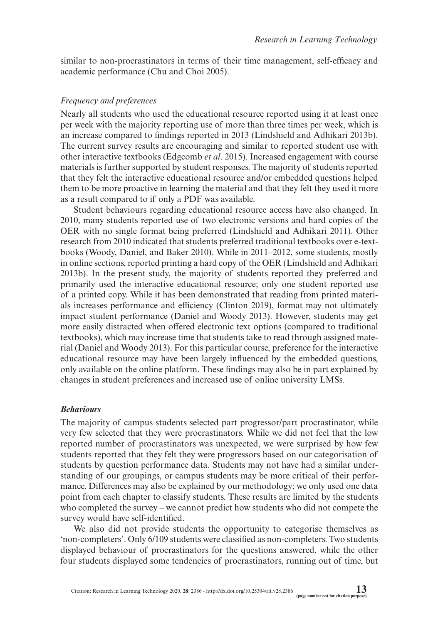similar to non-procrastinators in terms of their time management, self-efficacy and academic performance (Chu and Choi 2005).

#### *Frequency and preferences*

Nearly all students who used the educational resource reported using it at least once per week with the majority reporting use of more than three times per week, which is an increase compared to findings reported in 2013 (Lindshield and Adhikari 2013b). The current survey results are encouraging and similar to reported student use with other interactive textbooks (Edgcomb *et al*. 2015). Increased engagement with course materials is further supported by student responses. The majority of students reported that they felt the interactive educational resource and/or embedded questions helped them to be more proactive in learning the material and that they felt they used it more as a result compared to if only a PDF was available.

Student behaviours regarding educational resource access have also changed. In 2010, many students reported use of two electronic versions and hard copies of the OER with no single format being preferred (Lindshield and Adhikari 2011). Other research from 2010 indicated that students preferred traditional textbooks over e-textbooks (Woody, Daniel, and Baker 2010). While in 2011–2012, some students, mostly in online sections, reported printing a hard copy of the OER (Lindshield and Adhikari 2013b). In the present study, the majority of students reported they preferred and primarily used the interactive educational resource; only one student reported use of a printed copy. While it has been demonstrated that reading from printed materials increases performance and efficiency (Clinton 2019), format may not ultimately impact student performance (Daniel and Woody 2013). However, students may get more easily distracted when offered electronic text options (compared to traditional textbooks), which may increase time that students take to read through assigned material (Daniel and Woody 2013). For this particular course, preference for the interactive educational resource may have been largely influenced by the embedded questions, only available on the online platform. These findings may also be in part explained by changes in student preferences and increased use of online university LMSs.

#### *Behaviours*

The majority of campus students selected part progressor/part procrastinator, while very few selected that they were procrastinators. While we did not feel that the low reported number of procrastinators was unexpected, we were surprised by how few students reported that they felt they were progressors based on our categorisation of students by question performance data. Students may not have had a similar understanding of our groupings, or campus students may be more critical of their performance. Differences may also be explained by our methodology; we only used one data point from each chapter to classify students. These results are limited by the students who completed the survey – we cannot predict how students who did not compete the survey would have self-identified.

We also did not provide students the opportunity to categorise themselves as 'non-completers'. Only 6/109 students were classified as non-completers. Two students displayed behaviour of procrastinators for the questions answered, while the other four students displayed some tendencies of procrastinators, running out of time, but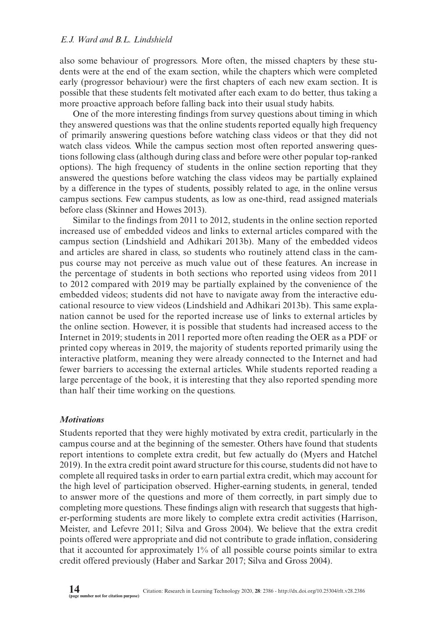also some behaviour of progressors. More often, the missed chapters by these students were at the end of the exam section, while the chapters which were completed early (progressor behaviour) were the first chapters of each new exam section. It is possible that these students felt motivated after each exam to do better, thus taking a more proactive approach before falling back into their usual study habits.

One of the more interesting findings from survey questions about timing in which they answered questions was that the online students reported equally high frequency of primarily answering questions before watching class videos or that they did not watch class videos. While the campus section most often reported answering questions following class (although during class and before were other popular top-ranked options). The high frequency of students in the online section reporting that they answered the questions before watching the class videos may be partially explained by a difference in the types of students, possibly related to age, in the online versus campus sections. Few campus students, as low as one-third, read assigned materials before class (Skinner and Howes 2013).

Similar to the findings from 2011 to 2012, students in the online section reported increased use of embedded videos and links to external articles compared with the campus section (Lindshield and Adhikari 2013b). Many of the embedded videos and articles are shared in class, so students who routinely attend class in the campus course may not perceive as much value out of these features. An increase in the percentage of students in both sections who reported using videos from 2011 to 2012 compared with 2019 may be partially explained by the convenience of the embedded videos; students did not have to navigate away from the interactive educational resource to view videos (Lindshield and Adhikari 2013b). This same explanation cannot be used for the reported increase use of links to external articles by the online section. However, it is possible that students had increased access to the Internet in 2019; students in 2011 reported more often reading the OER as a PDF or printed copy whereas in 2019, the majority of students reported primarily using the interactive platform, meaning they were already connected to the Internet and had fewer barriers to accessing the external articles. While students reported reading a large percentage of the book, it is interesting that they also reported spending more than half their time working on the questions.

#### *Motivations*

Students reported that they were highly motivated by extra credit, particularly in the campus course and at the beginning of the semester. Others have found that students report intentions to complete extra credit, but few actually do (Myers and Hatchel 2019). In the extra credit point award structure for this course, students did not have to complete all required tasks in order to earn partial extra credit, which may account for the high level of participation observed. Higher-earning students, in general, tended to answer more of the questions and more of them correctly, in part simply due to completing more questions. These findings align with research that suggests that higher-performing students are more likely to complete extra credit activities (Harrison, Meister, and Lefevre 2011; Silva and Gross 2004). We believe that the extra credit points offered were appropriate and did not contribute to grade inflation, considering that it accounted for approximately 1% of all possible course points similar to extra credit offered previously (Haber and Sarkar 2017; Silva and Gross 2004).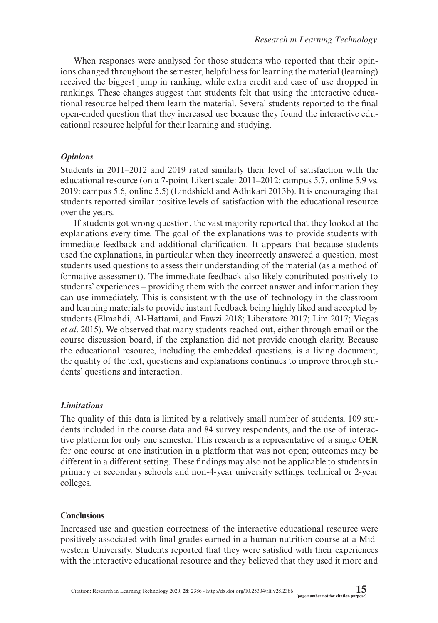When responses were analysed for those students who reported that their opinions changed throughout the semester, helpfulness for learning the material (learning) received the biggest jump in ranking, while extra credit and ease of use dropped in rankings. These changes suggest that students felt that using the interactive educational resource helped them learn the material. Several students reported to the final open-ended question that they increased use because they found the interactive educational resource helpful for their learning and studying.

### *Opinions*

Students in 2011–2012 and 2019 rated similarly their level of satisfaction with the educational resource (on a 7-point Likert scale: 2011–2012: campus 5.7, online 5.9 vs. 2019: campus 5.6, online 5.5) (Lindshield and Adhikari 2013b). It is encouraging that students reported similar positive levels of satisfaction with the educational resource over the years.

If students got wrong question, the vast majority reported that they looked at the explanations every time. The goal of the explanations was to provide students with immediate feedback and additional clarification. It appears that because students used the explanations, in particular when they incorrectly answered a question, most students used questions to assess their understanding of the material (as a method of formative assessment). The immediate feedback also likely contributed positively to students' experiences – providing them with the correct answer and information they can use immediately. This is consistent with the use of technology in the classroom and learning materials to provide instant feedback being highly liked and accepted by students (Elmahdi, Al-Hattami, and Fawzi 2018; Liberatore 2017; Lim 2017; Viegas *et al*. 2015). We observed that many students reached out, either through email or the course discussion board, if the explanation did not provide enough clarity. Because the educational resource, including the embedded questions, is a living document, the quality of the text, questions and explanations continues to improve through students' questions and interaction.

### *Limitations*

The quality of this data is limited by a relatively small number of students, 109 students included in the course data and 84 survey respondents, and the use of interactive platform for only one semester. This research is a representative of a single OER for one course at one institution in a platform that was not open; outcomes may be different in a different setting. These findings may also not be applicable to students in primary or secondary schools and non-4-year university settings, technical or 2-year colleges.

### **Conclusions**

Increased use and question correctness of the interactive educational resource were positively associated with final grades earned in a human nutrition course at a Midwestern University. Students reported that they were satisfied with their experiences with the interactive educational resource and they believed that they used it more and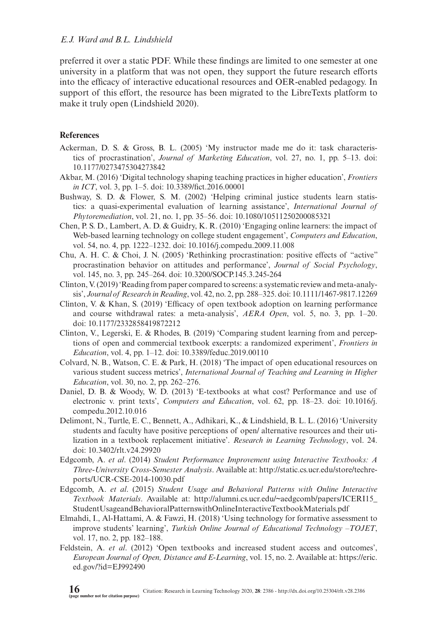preferred it over a static PDF. While these findings are limited to one semester at one university in a platform that was not open, they support the future research efforts into the efficacy of interactive educational resources and OER-enabled pedagogy. In support of this effort, the resource has been migrated to the LibreTexts platform to make it truly open (Lindshield 2020).

### **References**

- Ackerman, D. S. & Gross, B. L. (2005) 'My instructor made me do it: task characteristics of procrastination', *Journal of Marketing Education*, vol. 27, no. 1, pp. 5–13. doi: [10.1177/0273475304273842](https://dx.doi.org/10.1177/0273475304273842)
- Akbar, M. (2016) 'Digital technology shaping teaching practices in higher education', *Frontiers in ICT*, vol. 3, pp. 1–5. doi: [10.3389/fict.2016.00001](https://dx.doi.org/10.3389/fict.2016.00001)
- Bushway, S. D. & Flower, S. M. (2002) 'Helping criminal justice students learn statistics: a quasi-experimental evaluation of learning assistance', *International Journal of Phytoremediation*, vol. 21, no. 1, pp. 35–56. doi: [10.1080/10511250200085321](https://dx.doi.org/10.1080/10511250200085321)
- Chen, P. S. D., Lambert, A. D. & Guidry, K. R. (2010) 'Engaging online learners: the impact of Web-based learning technology on college student engagement', *Computers and Education*, vol. 54, no. 4, pp. 1222–1232. doi: [10.1016/j.compedu.2009.11.008](https://dx.doi.org/10.1016/j.compedu.2009.11.008)
- Chu, A. H. C. & Choi, J. N. (2005) 'Rethinking procrastination: positive effects of "active" procrastination behavior on attitudes and performance', *Journal of Social Psychology*, vol. 145, no. 3, pp. 245–264. doi: [10.3200/SOCP.145.3.245-264](https://dx.doi.org/10.3200/SOCP.145.3.245-264)
- Clinton, V. (2019) 'Reading from paper compared to screens: a systematic review and meta-analysis', *Journal of Research in Reading*, vol. 42, no. 2, pp. 288–325. doi: [10.1111/1467-9817.12269](https://dx.doi.org/10.1111/1467-9817.12269)
- Clinton, V. & Khan, S. (2019) 'Efficacy of open textbook adoption on learning performance and course withdrawal rates: a meta-analysis', *AERA Open*, vol. 5, no. 3, pp. 1–20. doi: [10.1177/2332858419872212](https://dx.doi.org/10.1177/2332858419872212)
- Clinton, V., Legerski, E. & Rhodes, B. (2019) 'Comparing student learning from and perceptions of open and commercial textbook excerpts: a randomized experiment', *Frontiers in Education*, vol. 4, pp. 1–12. doi: [10.3389/feduc.2019.00110](https://dx.doi.org/10.3389/feduc.2019.00110)
- Colvard, N. B., Watson, C. E. & Park, H. (2018) 'The impact of open educational resources on various student success metrics', *International Journal of Teaching and Learning in Higher Education*, vol. 30, no. 2, pp. 262–276.
- Daniel, D. B. & Woody, W. D. (2013) 'E-textbooks at what cost? Performance and use of electronic v. print texts', *Computers and Education*, vol. 62, pp. 18–23. doi: [10.1016/j.](https://dx.doi.org/10.1016/j.compedu.2012.10.016) [compedu.2012.10.016](https://dx.doi.org/10.1016/j.compedu.2012.10.016)
- Delimont, N., Turtle, E. C., Bennett, A., Adhikari, K., & Lindshield, B. L. L. (2016) 'University students and faculty have positive perceptions of open/ alternative resources and their utilization in a textbook replacement initiative'. *Research in Learning Technology*, vol. 24. doi: [10.3402/rlt.v24.29920](https://dx.doi.org/10.3402/rlt.v24.29920)
- Edgcomb, A. *et al*. (2014) *Student Performance Improvement using Interactive Textbooks: A Three-University Cross-Semester Analysis*. Available at: [http://static.cs.ucr.edu/store/techre](http://static.cs.ucr.edu/store/techreports/UCR-CSE-2014-10030.pdf)[ports/UCR-CSE-2014-10030.pdf](http://static.cs.ucr.edu/store/techreports/UCR-CSE-2014-10030.pdf)
- Edgcomb, A. *et al*. (2015) *Student Usage and Behavioral Patterns with Online Interactive Textbook Materials*. Available at: [http://alumni.cs.ucr.edu/~aedgcomb/papers/ICERI15\\_](http://alumni.cs.ucr.edu/~aedgcomb/papers/ICERI15_StudentUsageandBehavioralPatternswithOnlineInteractiveTextbookMaterials.pdf) [StudentUsageandBehavioralPatternswithOnlineInteractiveTextbookMaterials.pdf](http://alumni.cs.ucr.edu/~aedgcomb/papers/ICERI15_StudentUsageandBehavioralPatternswithOnlineInteractiveTextbookMaterials.pdf)
- Elmahdi, I., Al-Hattami, A. & Fawzi, H. (2018) 'Using technology for formative assessment to improve students' learning', *Turkish Online Journal of Educational Technology –TOJET*, vol. 17, no. 2, pp. 182–188.
- Feldstein, A. *et al*. (2012) 'Open textbooks and increased student access and outcomes', *European Journal of Open, Distance and E-Learning*, vol. 15, no. 2. Available at: [https://eric.](https://eric.ed.gov/?id=EJ992490) [ed.gov/?id=EJ992490](https://eric.ed.gov/?id=EJ992490)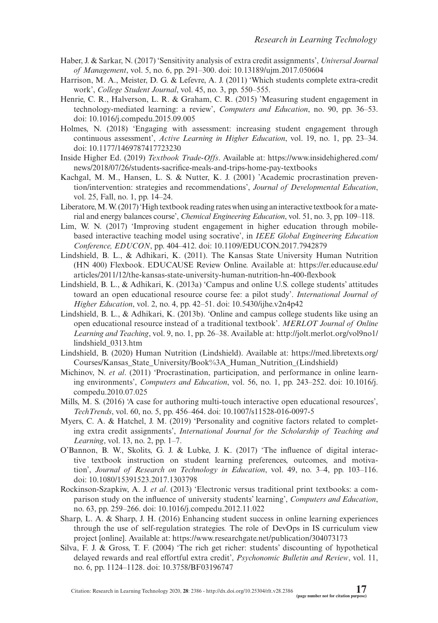- Haber, J. & Sarkar, N. (2017) 'Sensitivity analysis of extra credit assignments', *Universal Journal of Management*, vol. 5, no. 6, pp. 291–300. doi: [10.13189/ujm.2017.050604](https://dx.doi.org/10.13189/ujm.2017.050604)
- Harrison, M. A., Meister, D. G. & Lefevre, A. J. (2011) 'Which students complete extra-credit work', *College Student Journal*, vol. 45, no. 3, pp. 550–555.
- Henrie, C. R., Halverson, L. R. & Graham, C. R. (2015) 'Measuring student engagement in technology-mediated learning: a review', *Computers and Education*, no. 90, pp. 36–53. doi: [10.1016/j.compedu.2015.09.005](https://dx.doi.org/10.1016/j.compedu.2015.09.005)
- Holmes, N. (2018) 'Engaging with assessment: increasing student engagement through continuous assessment', *Active Learning in Higher Education*, vol. 19, no. 1, pp. 23–34. doi: [10.1177/1469787417723230](https://dx.doi.org/10.1177/1469787417723230)
- Inside Higher Ed. (2019) *Textbook Trade-Offs*. Available at: [https://www.insidehighered.com/](https://www.insidehighered.com/news/2018/07/26/students-sacrifice-meals-and-trips-home-pay-textbooks) [news/2018/07/26/students-sacrifice-meals-and-trips-home-pay-textbooks](https://www.insidehighered.com/news/2018/07/26/students-sacrifice-meals-and-trips-home-pay-textbooks)
- Kachgal, M. M., Hansen, L. S. & Nutter, K. J. (2001) 'Academic procrastination prevention/intervention: strategies and recommendations', *Journal of Developmental Education*, vol. 25, Fall, no. 1, pp. 14–24.
- Liberatore, M. W. (2017) 'High textbook reading rates when using an interactive textbook for a material and energy balances course', *Chemical Engineering Education*, vol. 51, no. 3, pp. 109–118.
- Lim, W. N. (2017) 'Improving student engagement in higher education through mobilebased interactive teaching model using socrative', in *IEEE Global Engineering Education Conference, EDUCON*, pp. 404–412. doi: [10.1109/EDUCON.2017.7942879](https://dx.doi.org/10.1109/EDUCON.2017.7942879)
- Lindshield, B. L., & Adhikari, K. (2011). The Kansas State University Human Nutrition (HN 400) Flexbook. EDUCAUSE Review Online. Available at: [https://er.educause.edu/](https://er.educause.edu/articles/2011/12/the-kansas-state-university-human-nutrition-hn-400-flexbook) [articles/2011/12/the-kansas-state-university-human-nutrition-hn-400-flexbook](https://er.educause.edu/articles/2011/12/the-kansas-state-university-human-nutrition-hn-400-flexbook)
- Lindshield, B. L., & Adhikari, K. (2013a) 'Campus and online U.S. college students' attitudes toward an open educational resource course fee: a pilot study'. *International Journal of Higher Education*, vol. 2, no. 4, pp. 42–51. doi: [10.5430/ijhe.v2n4p42](https://dx.doi.org/10.5430/ijhe.v2n4p42)
- Lindshield, B. L., & Adhikari, K. (2013b). 'Online and campus college students like using an open educational resource instead of a traditional textbook'. *MERLOT Journal of Online Learning and Teaching*, vol. 9, no. 1, pp. 26–38. Available at: [http://jolt.merlot.org/vol9no1/](http://jolt.merlot.org/vol9no1/lindshield_0313.htm) [lindshield\\_0313.htm](http://jolt.merlot.org/vol9no1/lindshield_0313.htm)
- Lindshield, B. (2020) Human Nutrition (Lindshield). Available at: [https://med.libretexts.org/](https://med.libretexts.org/Courses/Kansas_State_University/Book%3A_Human_Nutrition_(Lindshield)) [Courses/Kansas\\_State\\_University/Book%3A\\_Human\\_Nutrition\\_\(Lindshield\)](https://med.libretexts.org/Courses/Kansas_State_University/Book%3A_Human_Nutrition_(Lindshield))
- Michinov, N. *et al*. (2011) 'Procrastination, participation, and performance in online learning environments', *Computers and Education*, vol. 56, no. 1, pp. 243–252. doi: [10.1016/j.](https://dx.doi.org/10.1016/j.compedu.2010.07.025) [compedu.2010.07.025](https://dx.doi.org/10.1016/j.compedu.2010.07.025)
- Mills, M. S. (2016) 'A case for authoring multi-touch interactive open educational resources', *TechTrends*, vol. 60, no. 5, pp. 456–464. doi: [10.1007/s11528-016-0097-5](https://dx.doi.org/10.1007/s11528-016-0097-5)
- Myers, C. A. & Hatchel, J. M. (2019) 'Personality and cognitive factors related to completing extra credit assignments', *International Journal for the Scholarship of Teaching and Learning*, vol. 13, no. 2, pp. 1–7.
- O'Bannon, B. W., Skolits, G. J. & Lubke, J. K. (2017) 'The influence of digital interactive textbook instruction on student learning preferences, outcomes, and motivation', *Journal of Research on Technology in Education*, vol. 49, no. 3–4, pp. 103–116. doi: [10.1080/15391523.2017.1303798](https://dx.doi.org/10.1080/15391523.2017.1303798)
- Rockinson-Szapkiw, A. J. *et al*. (2013) 'Electronic versus traditional print textbooks: a comparison study on the influence of university students' learning', *Computers and Education*, no. 63, pp. 259–266. doi: [10.1016/j.compedu.2012.11.022](https://dx.doi.org/10.1016/j.compedu.2012.11.022)
- Sharp, L. A. & Sharp, J. H. (2016) Enhancing student success in online learning experiences through the use of self-regulation strategies*.* The role of DevOps in IS curriculum view project [online]. Available at:<https://www.researchgate.net/publication/304073173>
- Silva, F. J. & Gross, T. F. (2004) 'The rich get richer: students' discounting of hypothetical delayed rewards and real effortful extra credit', *Psychonomic Bulletin and Review*, vol. 11, no. 6, pp. 1124–1128. doi: [10.3758/BF03196747](https://dx.doi.org/10.3758/BF03196747)